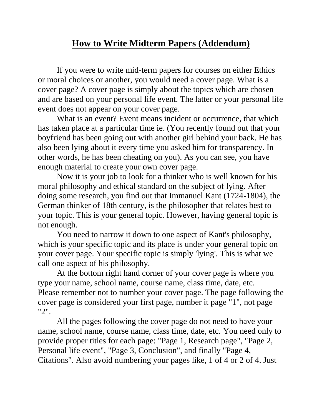## **How to Write Midterm Papers (Addendum)**

If you were to write mid-term papers for courses on either Ethics or moral choices or another, you would need a cover page. What is a cover page? A cover page is simply about the topics which are chosen and are based on your personal life event. The latter or your personal life event does not appear on your cover page.

What is an event? Event means incident or occurrence, that which has taken place at a particular time ie. (You recently found out that your boyfriend has been going out with another girl behind your back. He has also been lying about it every time you asked him for transparency. In other words, he has been cheating on you). As you can see, you have enough material to create your own cover page.

Now it is your job to look for a thinker who is well known for his moral philosophy and ethical standard on the subject of lying. After doing some research, you find out that Immanuel Kant (1724-1804), the German thinker of 18th century, is the philosopher that relates best to your topic. This is your general topic. However, having general topic is not enough.

You need to narrow it down to one aspect of Kant's philosophy, which is your specific topic and its place is under your general topic on your cover page. Your specific topic is simply 'lying'. This is what we call one aspect of his philosophy.

At the bottom right hand corner of your cover page is where you type your name, school name, course name, class time, date, etc. Please remember not to number your cover page. The page following the cover page is considered your first page, number it page "1", not page "2".

All the pages following the cover page do not need to have your name, school name, course name, class time, date, etc. You need only to provide proper titles for each page: "Page 1, Research page", "Page 2, Personal life event", "Page 3, Conclusion", and finally "Page 4, Citations". Also avoid numbering your pages like, 1 of 4 or 2 of 4. Just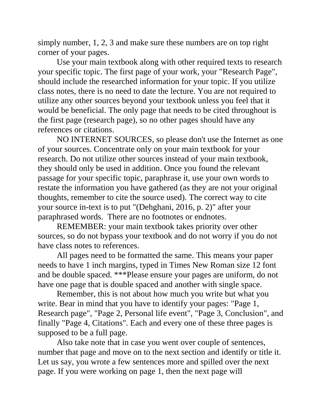simply number, 1, 2, 3 and make sure these numbers are on top right corner of your pages.

Use your main textbook along with other required texts to research your specific topic. The first page of your work, your "Research Page", should include the researched information for your topic. If you utilize class notes, there is no need to date the lecture. You are not required to utilize any other sources beyond your textbook unless you feel that it would be beneficial. The only page that needs to be cited throughout is the first page (research page), so no other pages should have any references or citations.

NO INTERNET SOURCES, so please don't use the Internet as one of your sources. Concentrate only on your main textbook for your research. Do not utilize other sources instead of your main textbook, they should only be used in addition. Once you found the relevant passage for your specific topic, paraphrase it, use your own words to restate the information you have gathered (as they are not your original thoughts, remember to cite the source used). The correct way to cite your source in-text is to put "(Dehghani, 2016, p. 2)" after your paraphrased words. There are no footnotes or endnotes.

REMEMBER: your main textbook takes priority over other sources, so do not bypass your textbook and do not worry if you do not have class notes to references.

All pages need to be formatted the same. This means your paper needs to have 1 inch margins, typed in Times New Roman size 12 font and be double spaced. \*\*\*Please ensure your pages are uniform, do not have one page that is double spaced and another with single space.

Remember, this is not about how much you write but what you write. Bear in mind that you have to identify your pages: "Page 1, Research page", "Page 2, Personal life event", "Page 3, Conclusion", and finally "Page 4, Citations". Each and every one of these three pages is supposed to be a full page.

Also take note that in case you went over couple of sentences, number that page and move on to the next section and identify or title it. Let us say, you wrote a few sentences more and spilled over the next page. If you were working on page 1, then the next page will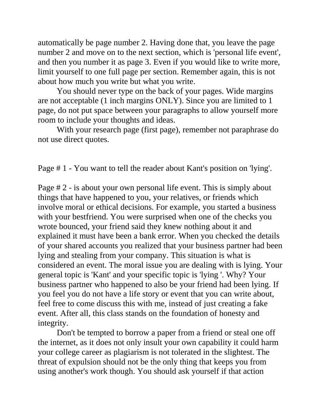automatically be page number 2. Having done that, you leave the page number 2 and move on to the next section, which is 'personal life event', and then you number it as page 3. Even if you would like to write more, limit yourself to one full page per section. Remember again, this is not about how much you write but what you write.

You should never type on the back of your pages. Wide margins are not acceptable (1 inch margins ONLY). Since you are limited to 1 page, do not put space between your paragraphs to allow yourself more room to include your thoughts and ideas.

With your research page (first page), remember not paraphrase do not use direct quotes.

Page # 1 - You want to tell the reader about Kant's position on 'lying'.

Page # 2 - is about your own personal life event. This is simply about things that have happened to you, your relatives, or friends which involve moral or ethical decisions. For example, you started a business with your bestfriend. You were surprised when one of the checks you wrote bounced, your friend said they knew nothing about it and explained it must have been a bank error. When you checked the details of your shared accounts you realized that your business partner had been lying and stealing from your company. This situation is what is considered an event. The moral issue you are dealing with is lying. Your general topic is 'Kant' and your specific topic is 'lying '. Why? Your business partner who happened to also be your friend had been lying. If you feel you do not have a life story or event that you can write about, feel free to come discuss this with me, instead of just creating a fake event. After all, this class stands on the foundation of honesty and integrity.

Don't be tempted to borrow a paper from a friend or steal one off the internet, as it does not only insult your own capability it could harm your college career as plagiarism is not tolerated in the slightest. The threat of expulsion should not be the only thing that keeps you from using another's work though. You should ask yourself if that action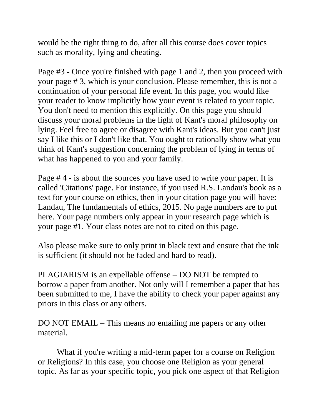would be the right thing to do, after all this course does cover topics such as morality, lying and cheating.

Page #3 - Once you're finished with page 1 and 2, then you proceed with your page # 3, which is your conclusion. Please remember, this is not a continuation of your personal life event. In this page, you would like your reader to know implicitly how your event is related to your topic. You don't need to mention this explicitly. On this page you should discuss your moral problems in the light of Kant's moral philosophy on lying. Feel free to agree or disagree with Kant's ideas. But you can't just say I like this or I don't like that. You ought to rationally show what you think of Kant's suggestion concerning the problem of lying in terms of what has happened to you and your family.

Page # 4 - is about the sources you have used to write your paper. It is called 'Citations' page. For instance, if you used R.S. Landau's book as a text for your course on ethics, then in your citation page you will have: Landau, The fundamentals of ethics, 2015. No page numbers are to put here. Your page numbers only appear in your research page which is your page #1. Your class notes are not to cited on this page.

Also please make sure to only print in black text and ensure that the ink is sufficient (it should not be faded and hard to read).

PLAGIARISM is an expellable offense – DO NOT be tempted to borrow a paper from another. Not only will I remember a paper that has been submitted to me, I have the ability to check your paper against any priors in this class or any others.

DO NOT EMAIL – This means no emailing me papers or any other material.

What if you're writing a mid-term paper for a course on Religion or Religions? In this case, you choose one Religion as your general topic. As far as your specific topic, you pick one aspect of that Religion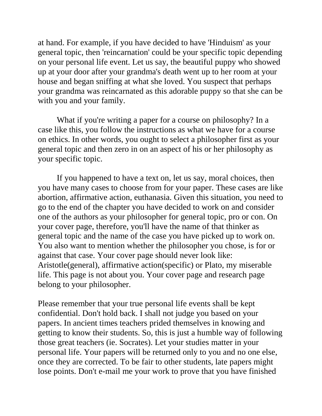at hand. For example, if you have decided to have 'Hinduism' as your general topic, then 'reincarnation' could be your specific topic depending on your personal life event. Let us say, the beautiful puppy who showed up at your door after your grandma's death went up to her room at your house and began sniffing at what she loved. You suspect that perhaps your grandma was reincarnated as this adorable puppy so that she can be with you and your family.

What if you're writing a paper for a course on philosophy? In a case like this, you follow the instructions as what we have for a course on ethics. In other words, you ought to select a philosopher first as your general topic and then zero in on an aspect of his or her philosophy as your specific topic.

If you happened to have a text on, let us say, moral choices, then you have many cases to choose from for your paper. These cases are like abortion, affirmative action, euthanasia. Given this situation, you need to go to the end of the chapter you have decided to work on and consider one of the authors as your philosopher for general topic, pro or con. On your cover page, therefore, you'll have the name of that thinker as general topic and the name of the case you have picked up to work on. You also want to mention whether the philosopher you chose, is for or against that case. Your cover page should never look like: Aristotle(general), affirmative action(specific) or Plato, my miserable life. This page is not about you. Your cover page and research page belong to your philosopher.

Please remember that your true personal life events shall be kept confidential. Don't hold back. I shall not judge you based on your papers. In ancient times teachers prided themselves in knowing and getting to know their students. So, this is just a humble way of following those great teachers (ie. Socrates). Let your studies matter in your personal life. Your papers will be returned only to you and no one else, once they are corrected. To be fair to other students, late papers might lose points. Don't e-mail me your work to prove that you have finished